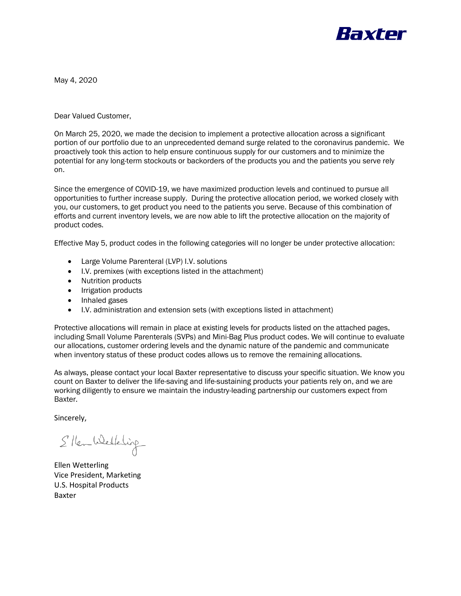

May 4, 2020

Dear Valued Customer,

On March 25, 2020, we made the decision to implement a protective allocation across a significant portion of our portfolio due to an unprecedented demand surge related to the coronavirus pandemic. We proactively took this action to help ensure continuous supply for our customers and to minimize the potential for any long-term stockouts or backorders of the products you and the patients you serve rely on.

Since the emergence of COVID-19, we have maximized production levels and continued to pursue all opportunities to further increase supply. During the protective allocation period, we worked closely with you, our customers, to get product you need to the patients you serve. Because of this combination of efforts and current inventory levels, we are now able to lift the protective allocation on the majority of product codes.

Effective May 5, product codes in the following categories will no longer be under protective allocation:

- Large Volume Parenteral (LVP) I.V. solutions
- I.V. premixes (with exceptions listed in the attachment)
- Nutrition products
- Irrigation products
- Inhaled gases
- I.V. administration and extension sets (with exceptions listed in attachment)

Protective allocations will remain in place at existing levels for products listed on the attached pages, including Small Volume Parenterals (SVPs) and Mini-Bag Plus product codes. We will continue to evaluate our allocations, customer ordering levels and the dynamic nature of the pandemic and communicate when inventory status of these product codes allows us to remove the remaining allocations.

As always, please contact your local Baxter representative to discuss your specific situation. We know you count on Baxter to deliver the life-saving and life-sustaining products your patients rely on, and we are working diligently to ensure we maintain the industry-leading partnership our customers expect from Baxter.

Sincerely,

S New Westering

Ellen Wetterling Vice President, Marketing U.S. Hospital Products Baxter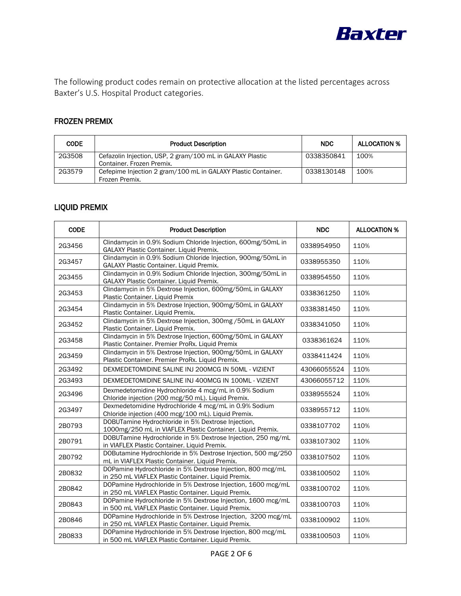

The following product codes remain on protective allocation at the listed percentages across Baxter's U.S. Hospital Product categories.

# FROZEN PREMIX

| <b>CODE</b> | <b>Product Description</b>                                                             | <b>NDC</b> | <b>ALLOCATION %</b> |
|-------------|----------------------------------------------------------------------------------------|------------|---------------------|
| 2G3508      | Cefazolin Injection, USP, 2 gram/100 mL in GALAXY Plastic<br>Container. Frozen Premix. | 0338350841 | 100%                |
| 2G3579      | Cefepime Injection 2 gram/100 mL in GALAXY Plastic Container.<br>Frozen Premix.        | 0338130148 | 100%                |

## LIQUID PREMIX

| <b>CODE</b> | <b>Product Description</b>                                                                                          | <b>NDC</b>  | <b>ALLOCATION %</b> |
|-------------|---------------------------------------------------------------------------------------------------------------------|-------------|---------------------|
| 2G3456      | Clindamycin in 0.9% Sodium Chloride Injection, 600mg/50mL in<br>GALAXY Plastic Container. Liquid Premix.            | 0338954950  | 110%                |
| 2G3457      | Clindamycin in 0.9% Sodium Chloride Injection, 900mg/50mL in<br>GALAXY Plastic Container. Liquid Premix.            | 0338955350  | 110%                |
| 2G3455      | Clindamycin in 0.9% Sodium Chloride Injection, 300mg/50mL in<br><b>GALAXY Plastic Container. Liquid Premix.</b>     | 0338954550  | 110%                |
| 2G3453      | Clindamycin in 5% Dextrose Injection, 600mg/50mL in GALAXY<br>Plastic Container. Liquid Premix                      | 0338361250  | 110%                |
| 2G3454      | Clindamycin in 5% Dextrose Injection, 900mg/50mL in GALAXY<br>Plastic Container. Liquid Premix.                     | 0338381450  | 110%                |
| 2G3452      | Clindamycin in 5% Dextrose Injection, 300mg /50mL in GALAXY<br>Plastic Container. Liquid Premix.                    | 0338341050  | 110%                |
| 2G3458      | Clindamycin in 5% Dextrose Injection, 600mg/50mL in GALAXY<br>Plastic Container. Premier ProRx. Liquid Premix       | 0338361624  | 110%                |
| 2G3459      | Clindamycin in 5% Dextrose Injection, 900mg/50mL in GALAXY<br>Plastic Container. Premier ProRx. Liquid Premix.      | 0338411424  | 110%                |
| 2G3492      | DEXMEDETOMIDINE SALINE INJ 200MCG IN 50ML - VIZIENT                                                                 | 43066055524 | 110%                |
| 2G3493      | DEXMEDETOMIDINE SALINE INJ 400MCG IN 100ML - VIZIENT                                                                | 43066055712 | 110%                |
| 2G3496      | Dexmedetomidine Hydrochloride 4 mcg/mL in 0.9% Sodium<br>Chloride injection (200 mcg/50 mL). Liquid Premix.         | 0338955524  | 110%                |
| 2G3497      | Dexmedetomidine Hydrochloride 4 mcg/mL in 0.9% Sodium<br>Chloride injection (400 mcg/100 mL). Liquid Premix.        | 0338955712  | 110%                |
| 2B0793      | DOBUTamine Hydrochloride in 5% Dextrose Injection,<br>1000mg/250 mL in VIAFLEX Plastic Container. Liquid Premix.    | 0338107702  | 110%                |
| 2B0791      | DOBUTamine Hydrochloride in 5% Dextrose Injection, 250 mg/mL<br>in VIAFLEX Plastic Container. Liquid Premix.        | 0338107302  | 110%                |
| 2B0792      | DOButamine Hydrochloride in 5% Dextrose Injection, 500 mg/250<br>mL in VIAFLEX Plastic Container. Liquid Premix.    | 0338107502  | 110%                |
| 2B0832      | DOPamine Hydrochloride in 5% Dextrose Injection, 800 mcg/mL<br>in 250 mL VIAFLEX Plastic Container. Liquid Premix.  | 0338100502  | 110%                |
| 2B0842      | DOPamine Hydrochloride in 5% Dextrose Injection, 1600 mcg/mL<br>in 250 mL VIAFLEX Plastic Container. Liquid Premix. | 0338100702  | 110%                |
| 2B0843      | DOPamine Hydrochloride in 5% Dextrose Injection, 1600 mcg/mL<br>in 500 mL VIAFLEX Plastic Container. Liquid Premix. | 0338100703  | 110%                |
| 2B0846      | DOPamine Hydrochloride in 5% Dextrose Injection, 3200 mcg/mL<br>in 250 mL VIAFLEX Plastic Container. Liquid Premix. | 0338100902  | 110%                |
| 2B0833      | DOPamine Hydrochloride in 5% Dextrose Injection, 800 mcg/mL<br>in 500 mL VIAFLEX Plastic Container. Liquid Premix.  | 0338100503  | 110%                |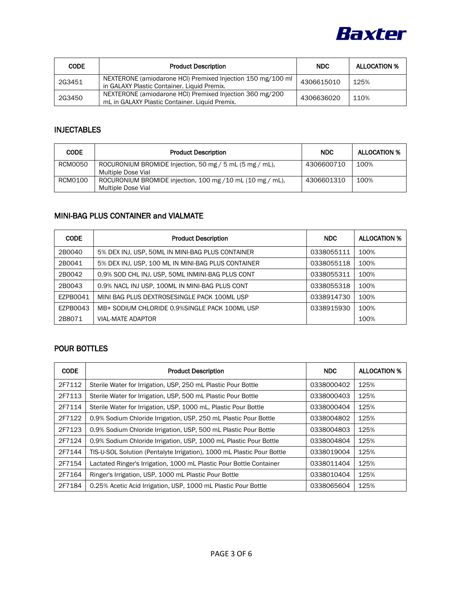

| <b>CODE</b> | <b>Product Description</b>                                                                                 | <b>NDC</b> | <b>ALLOCATION %</b> |
|-------------|------------------------------------------------------------------------------------------------------------|------------|---------------------|
| 2G3451      | NEXTERONE (amiodarone HCI) Premixed Injection 150 mg/100 ml<br>in GALAXY Plastic Container. Liquid Premix. | 4306615010 | 125%                |
| 2G3450      | NEXTERONE (amiodarone HCI) Premixed Injection 360 mg/200<br>mL in GALAXY Plastic Container. Liquid Premix. | 4306636020 | 110%                |

#### INJECTABLES

| <b>CODE</b> | <b>Product Description</b>                                                       | <b>NDC</b> | <b>ALLOCATION %</b> |
|-------------|----------------------------------------------------------------------------------|------------|---------------------|
| RCM0050     | ROCURONIUM BROMIDE Injection, 50 mg / 5 mL (5 mg / mL),<br>Multiple Dose Vial    | 4306600710 | 100%                |
| RCM0100     | ROCURONIUM BROMIDE injection, 100 mg / 10 mL (10 mg / mL),<br>Multiple Dose Vial | 4306601310 | 100%                |

## MINI-BAG PLUS CONTAINER and VIALMATE

| <b>CODE</b> | <b>Product Description</b>                         | <b>NDC</b> | <b>ALLOCATION %</b> |
|-------------|----------------------------------------------------|------------|---------------------|
| 2B0040      | 5% DEX INJ, USP, 50ML IN MINI-BAG PLUS CONTAINER   | 0338055111 | 100%                |
| 2B0041      | 5% DEX INJ, USP, 100 ML IN MINI-BAG PLUS CONTAINER | 0338055118 | 100%                |
| 2B0042      | 0.9% SOD CHL INJ, USP, 50ML INMINI-BAG PLUS CONT   | 0338055311 | 100%                |
| 2B0043      | 0.9% NACL INJ USP, 100ML IN MINI-BAG PLUS CONT     | 0338055318 | 100%                |
| EZPB0041    | MINI BAG PLUS DEXTROSESINGLE PACK 100ML USP        | 0338914730 | 100%                |
| EZPB0043    | MB+ SODIUM CHLORIDE 0.9%SINGLE PACK 100ML USP      | 0338915930 | 100%                |
| 2B8071      | VIAL-MATE ADAPTOR                                  |            | 100%                |

## POUR BOTTLES

| <b>CODE</b> | <b>Product Description</b>                                             | <b>NDC</b> | <b>ALLOCATION %</b> |
|-------------|------------------------------------------------------------------------|------------|---------------------|
| 2F7112      | Sterile Water for Irrigation, USP, 250 mL Plastic Pour Bottle          | 0338000402 | 125%                |
| 2F7113      | Sterile Water for Irrigation, USP, 500 mL Plastic Pour Bottle          | 0338000403 | 125%                |
| 2F7114      | Sterile Water for Irrigation, USP, 1000 mL, Plastic Pour Bottle        | 0338000404 | 125%                |
| 2F7122      | 0.9% Sodium Chloride Irrigation, USP, 250 mL Plastic Pour Bottle       | 0338004802 | 125%                |
| 2F7123      | 0.9% Sodium Chloride Irrigation, USP, 500 mL Plastic Pour Bottle       | 0338004803 | 125%                |
| 2F7124      | 0.9% Sodium Chloride Irrigation, USP, 1000 mL Plastic Pour Bottle      | 0338004804 | 125%                |
| 2F7144      | TIS-U-SOL Solution (Pentalyte Irrigation), 1000 mL Plastic Pour Bottle | 0338019004 | 125%                |
| 2F7154      | Lactated Ringer's Irrigation, 1000 mL Plastic Pour Bottle Container    | 0338011404 | 125%                |
| 2F7164      | Ringer's Irrigation, USP, 1000 mL Plastic Pour Bottle                  | 0338010404 | 125%                |
| 2F7184      | 0.25% Acetic Acid Irrigation, USP, 1000 mL Plastic Pour Bottle         | 0338065604 | 125%                |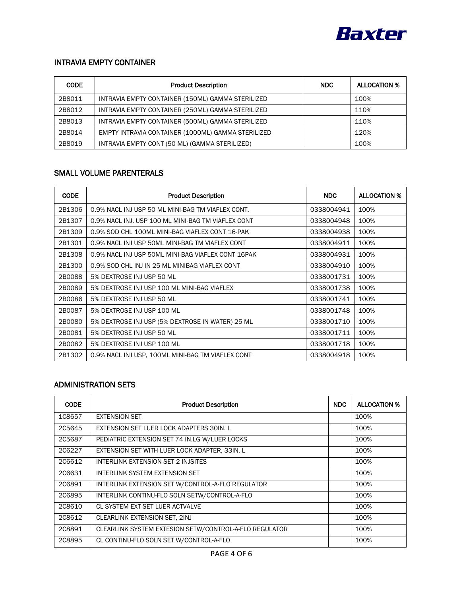

### INTRAVIA EMPTY CONTAINER

| <b>CODE</b> | <b>Product Description</b>                         | <b>NDC</b> | <b>ALLOCATION %</b> |
|-------------|----------------------------------------------------|------------|---------------------|
| 2B8011      | INTRAVIA EMPTY CONTAINER (150ML) GAMMA STERILIZED  |            | 100%                |
| 2B8012      | INTRAVIA EMPTY CONTAINER (250ML) GAMMA STERILIZED  |            | 110%                |
| 2B8013      | INTRAVIA EMPTY CONTAINER (500ML) GAMMA STERILIZED  |            | 110%                |
| 2B8014      | EMPTY INTRAVIA CONTAINER (1000ML) GAMMA STERILIZED |            | 120%                |
| 2B8019      | INTRAVIA EMPTY CONT (50 ML) (GAMMA STERILIZED)     |            | 100%                |

# SMALL VOLUME PARENTERALS

| <b>CODE</b> | <b>Product Description</b>                         | <b>NDC</b> | <b>ALLOCATION %</b> |
|-------------|----------------------------------------------------|------------|---------------------|
| 2B1306      | 0.9% NACL INJ USP 50 ML MINI-BAG TM VIAFLEX CONT.  | 0338004941 | 100%                |
| 2B1307      | 0.9% NACL INJ. USP 100 ML MINI-BAG TM VIAFLEX CONT | 0338004948 | 100%                |
| 2B1309      | 0.9% SOD CHL 100ML MINI-BAG VIAFLEX CONT 16-PAK    | 0338004938 | 100%                |
| 2B1301      | 0.9% NACL INJ USP 50ML MINI-BAG TM VIAFLEX CONT    | 0338004911 | 100%                |
| 2B1308      | 0.9% NACL INJ USP 50ML MINI-BAG VIAFLEX CONT 16PAK | 0338004931 | 100%                |
| 2B1300      | 0.9% SOD CHL INJ IN 25 ML MINIBAG VIAFLEX CONT     | 0338004910 | 100%                |
| 2B0088      | 5% DEXTROSE INJ USP 50 ML                          | 0338001731 | 100%                |
| 2B0089      | 5% DEXTROSE INJ USP 100 ML MINI-BAG VIAFLEX        | 0338001738 | 100%                |
| 2B0086      | 5% DEXTROSE INJ USP 50 ML                          | 0338001741 | 100%                |
| 2B0087      | 5% DEXTROSE INJ USP 100 ML                         | 0338001748 | 100%                |
| 2B0080      | 5% DEXTROSE INJ USP (5% DEXTROSE IN WATER) 25 ML   | 0338001710 | 100%                |
| 2B0081      | 5% DEXTROSE INJ USP 50 ML                          | 0338001711 | 100%                |
| 2B0082      | 5% DEXTROSE INJ USP 100 ML                         | 0338001718 | 100%                |
| 2B1302      | 0.9% NACL INJ USP, 100ML MINI-BAG TM VIAFLEX CONT  | 0338004918 | 100%                |

# ADMINISTRATION SETS

| <b>CODE</b>   | <b>Product Description</b>                             | <b>NDC</b> | <b>ALLOCATION %</b> |
|---------------|--------------------------------------------------------|------------|---------------------|
| 1C8657        | <b>EXTENSION SET</b>                                   |            | 100%                |
| 2C5645        | EXTENSION SET LUER LOCK ADAPTERS 30IN. L               |            | 100%                |
| 2C5687        | PEDIATRIC EXTENSION SET 74 IN.LG W/LUER LOCKS          |            | 100%                |
| 2C6227        | EXTENSION SET WITH LUER LOCK ADAPTER, 33IN. L          |            | 100%                |
| 2C6612        | INTERLINK EXTENSION SET 2 INJSITES                     |            | 100%                |
| 206631        | INTERLINK SYSTEM EXTENSION SET                         |            | 100%                |
| 206891        | INTERLINK EXTENSION SET W/CONTROL-A-FLO REGULATOR      |            | 100%                |
| <b>2C6895</b> | INTERLINK CONTINU-FLO SOLN SETW/CONTROL-A-FLO          |            | 100%                |
| 2C8610        | CL SYSTEM EXT SET LUER ACTVALVE                        |            | 100%                |
| 2C8612        | CLEARLINK EXTENSION SET, 2INJ                          |            | 100%                |
| 208891        | CLEARLINK SYSTEM EXTESION SETW/CONTROL-A-FLO REGULATOR |            | 100%                |
| 2C8895        | CL CONTINU-FLO SOLN SET W/CONTROL-A-FLO                |            | 100%                |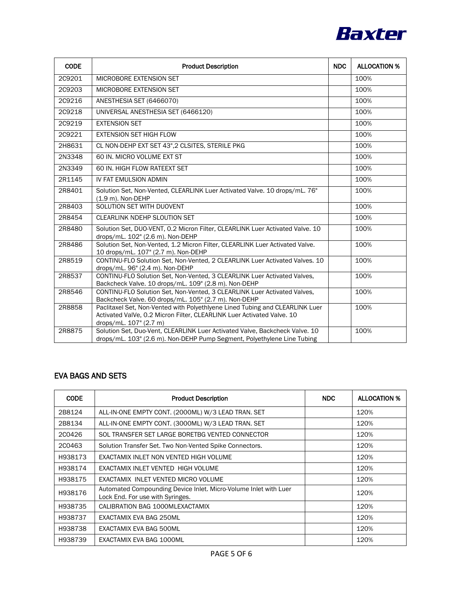

| <b>CODE</b>   | <b>Product Description</b>                                                                                                                                                       | <b>NDC</b> | <b>ALLOCATION %</b> |
|---------------|----------------------------------------------------------------------------------------------------------------------------------------------------------------------------------|------------|---------------------|
| 2C9201        | MICROBORE EXTENSION SET                                                                                                                                                          |            | 100%                |
| 209203        | MICROBORE EXTENSION SET                                                                                                                                                          |            | 100%                |
| <b>2C9216</b> | ANESTHESIA SET (6466070)                                                                                                                                                         |            | 100%                |
| 2C9218        | UNIVERSAL ANESTHESIA SET (6466120)                                                                                                                                               |            | 100%                |
| <b>2C9219</b> | <b>EXTENSION SET</b>                                                                                                                                                             |            | 100%                |
| 2C9221        | <b>EXTENSION SET HIGH FLOW</b>                                                                                                                                                   |            | 100%                |
| 2H8631        | CL NON-DEHP EXT SET 43", 2 CLSITES, STERILE PKG                                                                                                                                  |            | 100%                |
| 2N3348        | 60 IN. MICRO VOLUME EXT ST                                                                                                                                                       |            | 100%                |
| 2N3349        | 60 IN. HIGH FLOW RATEEXT SET                                                                                                                                                     |            | 100%                |
| 2R1145        | IV FAT EMULSION ADMIN                                                                                                                                                            |            | 100%                |
| 2R8401        | Solution Set, Non-Vented, CLEARLINK Luer Activated Valve. 10 drops/mL. 76"<br>(1.9 m). Non-DEHP                                                                                  |            | 100%                |
| 2R8403        | SOLUTION SET WITH DUOVENT                                                                                                                                                        |            | 100%                |
| 2R8454        | <b>CLEARLINK NDEHP SLOUTION SET</b>                                                                                                                                              |            | 100%                |
| 2R8480        | Solution Set, DUO-VENT, 0.2 Micron Filter, CLEARLINK Luer Activated Valve. 10<br>drops/mL. 102" (2.6 m). Non-DEHP                                                                |            | 100%                |
| 2R8486        | Solution Set, Non-Vented, 1.2 Micron Filter, CLEARLINK Luer Activated Valve.<br>10 drops/mL. 107" (2.7 m). Non-DEHP                                                              |            | 100%                |
| 2R8519        | CONTINU-FLO Solution Set, Non-Vented, 2 CLEARLINK Luer Activated Valves. 10<br>drops/mL. 96" (2.4 m). Non-DEHP                                                                   |            | 100%                |
| 2R8537        | CONTINU-FLO Solution Set, Non-Vented, 3 CLEARLINK Luer Activated Valves,<br>Backcheck Valve. 10 drops/mL. 109" (2.8 m). Non-DEHP                                                 |            | 100%                |
| 2R8546        | CONTINU-FLO Solution Set, Non-Vented, 3 CLEARLINK Luer Activated Valves,<br>Backcheck Valve. 60 drops/mL. 105" (2.7 m). Non-DEHP                                                 |            | 100%                |
| 2R8858        | Paclitaxel Set, Non-Vented with Polyethlyene Lined Tubing and CLEARLINK Luer<br>Activated ValVe, 0.2 Micron Filter, CLEARLINK Luer Activated Valve. 10<br>drops/mL. 107" (2.7 m) |            | 100%                |
| 2R8875        | Solution Set, Duo-Vent, CLEARLINK Luer Activated Valve, Backcheck Valve. 10<br>drops/mL. 103" (2.6 m). Non-DEHP Pump Segment, Polyethylene Line Tubing                           |            | 100%                |

## EVA BAGS AND SETS

| <b>CODE</b> | <b>Product Description</b>                                                                           | <b>NDC</b> | <b>ALLOCATION %</b> |
|-------------|------------------------------------------------------------------------------------------------------|------------|---------------------|
| 2B8124      | ALL-IN-ONE EMPTY CONT. (2000ML) W/3 LEAD TRAN. SET                                                   |            | 120%                |
| 2B8134      | ALL-IN-ONE EMPTY CONT. (3000ML) W/3 LEAD TRAN. SET                                                   |            | 120%                |
| 2C0426      | SOL TRANSFER SET LARGE BORETBG VENTED CONNECTOR                                                      |            | 120%                |
| 2C0463      | Solution Transfer Set. Two Non-Vented Spike Connectors.                                              |            | 120%                |
| H938173     | EXACTAMIX INLET NON VENTED HIGH VOLUME                                                               |            | 120%                |
| H938174     | EXACTAMIX INLET VENTED HIGH VOLUME                                                                   |            | 120%                |
| H938175     | EXACTAMIX INLET VENTED MICRO VOLUME                                                                  |            | 120%                |
| H938176     | Automated Compounding Device Inlet. Micro-Volume Inlet with Luer<br>Lock End. For use with Syringes. |            | 120%                |
| H938735     | CALIBRATION BAG 1000MLEXACTAMIX                                                                      |            | 120%                |
| H938737     | EXACTAMIX EVA BAG 250ML                                                                              |            | 120%                |
| H938738     | EXACTAMIX EVA BAG 500ML                                                                              |            | 120%                |
| H938739     | EXACTAMIX EVA BAG 1000ML                                                                             |            | 120%                |